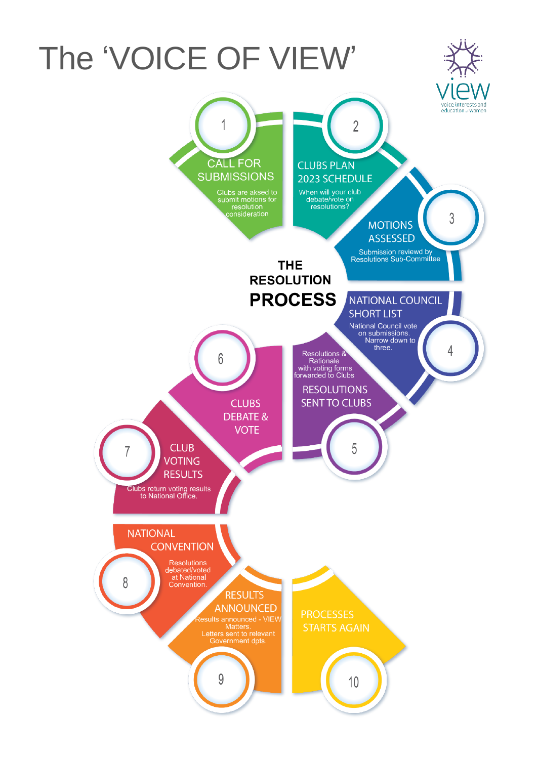